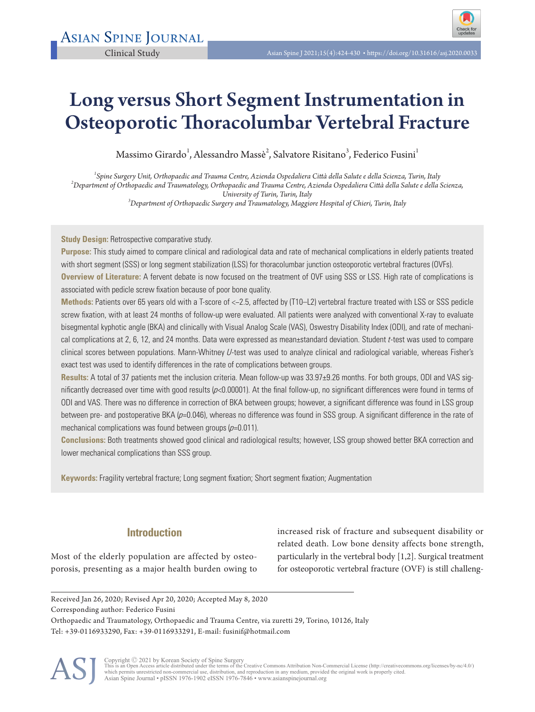

# Long versus Short Segment Instrumentation in Osteoporotic Thoracolumbar Vertebral Fracture

Massimo Girardo $^1$ , Alessandro Massè $^2$ , Salvatore Risitano $^3$ , Federico Fusini $^1$ 

*1 Spine Surgery Unit, Orthopaedic and Trauma Centre, Azienda Ospedaliera Città della Salute e della Scienza, Turin, Italy <sup>2</sup> Department of Orthopaedic and Traumatology, Orthopaedic and Trauma Centre, Azienda Ospedaliera Città della Salute e della Scienza, University of Turin, Turin, Italy <sup>3</sup> Department of Orthopaedic Surgery and Traumatology, Maggiore Hospital of Chieri, Turin, Italy* 

**Study Design:** Retrospective comparative study.

**Purpose:** This study aimed to compare clinical and radiological data and rate of mechanical complications in elderly patients treated with short segment (SSS) or long segment stabilization (LSS) for thoracolumbar junction osteoporotic vertebral fractures (OVFs). **Overview of Literature:** A fervent debate is now focused on the treatment of OVF using SSS or LSS. High rate of complications is associated with pedicle screw fixation because of poor bone quality.

**Methods:** Patients over 65 years old with a T-score of <−2.5, affected by (T10–L2) vertebral fracture treated with LSS or SSS pedicle screw fixation, with at least 24 months of follow-up were evaluated. All patients were analyzed with conventional X-ray to evaluate bisegmental kyphotic angle (BKA) and clinically with Visual Analog Scale (VAS), Oswestry Disability Index (ODI), and rate of mechanical complications at 2, 6, 12, and 24 months. Data were expressed as mean±standard deviation. Student t-test was used to compare clinical scores between populations. Mann-Whitney U-test was used to analyze clinical and radiological variable, whereas Fisher's exact test was used to identify differences in the rate of complications between groups.

**Results:** A total of 37 patients met the inclusion criteria. Mean follow-up was 33.97±9.26 months. For both groups, ODI and VAS significantly decreased over time with good results  $(p<0.00001)$ . At the final follow-up, no significant differences were found in terms of ODI and VAS. There was no difference in correction of BKA between groups; however, a significant difference was found in LSS group between pre- and postoperative BKA (p=0.046), whereas no difference was found in SSS group. A significant difference in the rate of mechanical complications was found between groups  $(p=0.011)$ .

**Conclusions:** Both treatments showed good clinical and radiological results; however, LSS group showed better BKA correction and lower mechanical complications than SSS group.

**Keywords:** Fragility vertebral fracture; Long segment fixation; Short segment fixation; Augmentation

# **Introduction**

Most of the elderly population are affected by osteoporosis, presenting as a major health burden owing to

increased risk of fracture and subsequent disability or related death. Low bone density affects bone strength, particularly in the vertebral body [1,2]. Surgical treatment for osteoporotic vertebral fracture (OVF) is still challeng-

Orthopaedic and Traumatology, Orthopaedic and Trauma Centre, via zuretti 29, Torino, 10126, Italy Tel: +39-0116933290, Fax: +39-0116933291, E-mail: fusinif@hotmail.com



Copyright © 2021 by Korean Society of Spine Surgery<br>This is an Open Access article distributed under the terms of the Creative Commons Attribution Non-Commercial License (http://creativecommons.org/licenses/by-nc/4.0/)<br>whi Asian Spine Journal • pISSN 1976-1902 eISSN 1976-7846 • www.asianspinejournal.org

Received Jan 26, 2020; Revised Apr 20, 2020; Accepted May 8, 2020 Corresponding author: Federico Fusini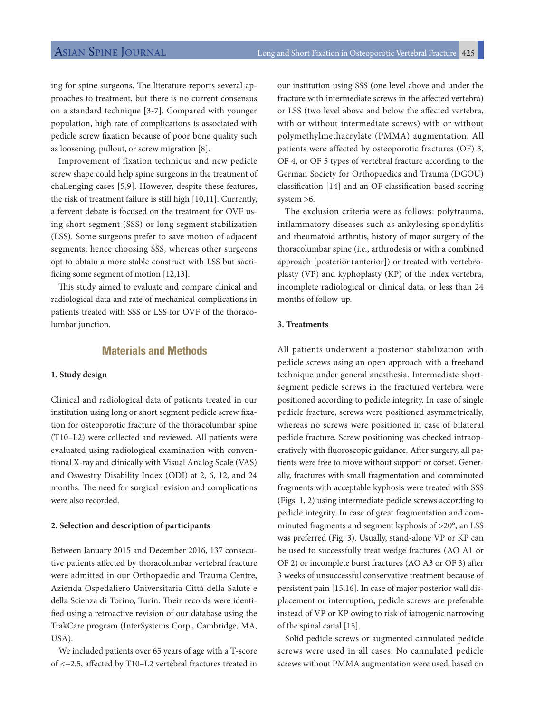ing for spine surgeons. The literature reports several approaches to treatment, but there is no current consensus on a standard technique [3-7]. Compared with younger population, high rate of complications is associated with pedicle screw fixation because of poor bone quality such as loosening, pullout, or screw migration [8].

Improvement of fixation technique and new pedicle screw shape could help spine surgeons in the treatment of challenging cases [5,9]. However, despite these features, the risk of treatment failure is still high [10,11]. Currently, a fervent debate is focused on the treatment for OVF using short segment (SSS) or long segment stabilization (LSS). Some surgeons prefer to save motion of adjacent segments, hence choosing SSS, whereas other surgeons opt to obtain a more stable construct with LSS but sacrificing some segment of motion [12,13].

This study aimed to evaluate and compare clinical and radiological data and rate of mechanical complications in patients treated with SSS or LSS for OVF of the thoracolumbar junction.

# **Materials and Methods**

#### **1. Study design**

Clinical and radiological data of patients treated in our institution using long or short segment pedicle screw fixation for osteoporotic fracture of the thoracolumbar spine (T10–L2) were collected and reviewed. All patients were evaluated using radiological examination with conventional X-ray and clinically with Visual Analog Scale (VAS) and Oswestry Disability Index (ODI) at 2, 6, 12, and 24 months. The need for surgical revision and complications were also recorded.

#### **2. Selection and description of participants**

Between January 2015 and December 2016, 137 consecutive patients affected by thoracolumbar vertebral fracture were admitted in our Orthopaedic and Trauma Centre, Azienda Ospedaliero Universitaria Città della Salute e della Scienza di Torino, Turin. Their records were identified using a retroactive revision of our database using the TrakCare program (InterSystems Corp., Cambridge, MA, USA).

We included patients over 65 years of age with a T-score of <−2.5, affected by T10–L2 vertebral fractures treated in our institution using SSS (one level above and under the fracture with intermediate screws in the affected vertebra) or LSS (two level above and below the affected vertebra, with or without intermediate screws) with or without polymethylmethacrylate (PMMA) augmentation. All patients were affected by osteoporotic fractures (OF) 3, OF 4, or OF 5 types of vertebral fracture according to the German Society for Orthopaedics and Trauma (DGOU) classification [14] and an OF classification-based scoring system >6.

The exclusion criteria were as follows: polytrauma, inflammatory diseases such as ankylosing spondylitis and rheumatoid arthritis, history of major surgery of the thoracolumbar spine (i.e., arthrodesis or with a combined approach [posterior+anterior]) or treated with vertebroplasty (VP) and kyphoplasty (KP) of the index vertebra, incomplete radiological or clinical data, or less than 24 months of follow-up.

### **3. Treatments**

All patients underwent a posterior stabilization with pedicle screws using an open approach with a freehand technique under general anesthesia. Intermediate shortsegment pedicle screws in the fractured vertebra were positioned according to pedicle integrity. In case of single pedicle fracture, screws were positioned asymmetrically, whereas no screws were positioned in case of bilateral pedicle fracture. Screw positioning was checked intraoperatively with fluoroscopic guidance. After surgery, all patients were free to move without support or corset. Generally, fractures with small fragmentation and comminuted fragments with acceptable kyphosis were treated with SSS (Figs. 1, 2) using intermediate pedicle screws according to pedicle integrity. In case of great fragmentation and comminuted fragments and segment kyphosis of >20°, an LSS was preferred (Fig. 3). Usually, stand-alone VP or KP can be used to successfully treat wedge fractures (AO A1 or OF 2) or incomplete burst fractures (AO A3 or OF 3) after 3 weeks of unsuccessful conservative treatment because of persistent pain [15,16]. In case of major posterior wall displacement or interruption, pedicle screws are preferable instead of VP or KP owing to risk of iatrogenic narrowing of the spinal canal [15].

Solid pedicle screws or augmented cannulated pedicle screws were used in all cases. No cannulated pedicle screws without PMMA augmentation were used, based on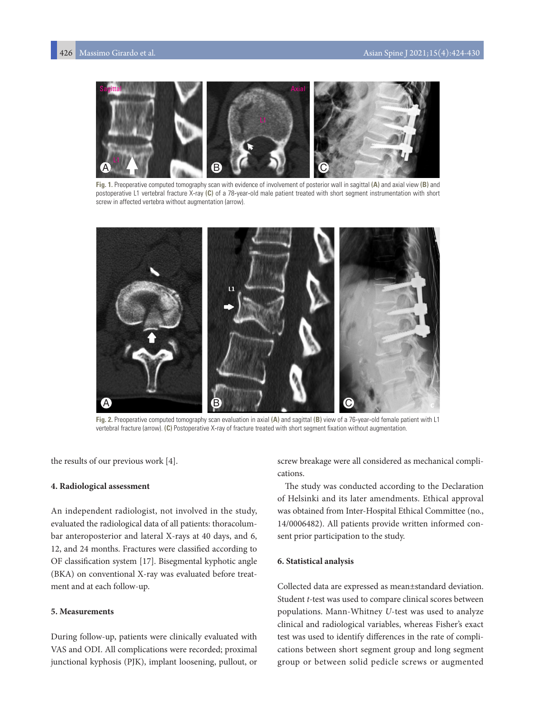

**Fig. 1.** Preoperative computed tomography scan with evidence of involvement of posterior wall in sagittal **(A)** and axial view **(B)** and postoperative L1 vertebral fracture X-ray **(C)** of a 78-year-old male patient treated with short segment instrumentation with short screw in affected vertebra without augmentation (arrow).



**Fig. 2.** Preoperative computed tomography scan evaluation in axial **(A)** and sagittal **(B)** view of a 76-year-old female patient with L1 vertebral fracture (arrow). **(C)** Postoperative X-ray of fracture treated with short segment fixation without augmentation.

the results of our previous work [4].

#### **4. Radiological assessment**

An independent radiologist, not involved in the study, evaluated the radiological data of all patients: thoracolumbar anteroposterior and lateral X-rays at 40 days, and 6, 12, and 24 months. Fractures were classified according to OF classification system [17]. Bisegmental kyphotic angle (BKA) on conventional X-ray was evaluated before treatment and at each follow-up.

#### **5. Measurements**

During follow-up, patients were clinically evaluated with VAS and ODI. All complications were recorded; proximal junctional kyphosis (PJK), implant loosening, pullout, or screw breakage were all considered as mechanical complications.

The study was conducted according to the Declaration of Helsinki and its later amendments. Ethical approval was obtained from Inter-Hospital Ethical Committee (no., 14/0006482). All patients provide written informed consent prior participation to the study.

#### **6. Statistical analysis**

Collected data are expressed as mean±standard deviation. Student *t-*test was used to compare clinical scores between populations. Mann-Whitney *U*-test was used to analyze clinical and radiological variables, whereas Fisher's exact test was used to identify differences in the rate of complications between short segment group and long segment group or between solid pedicle screws or augmented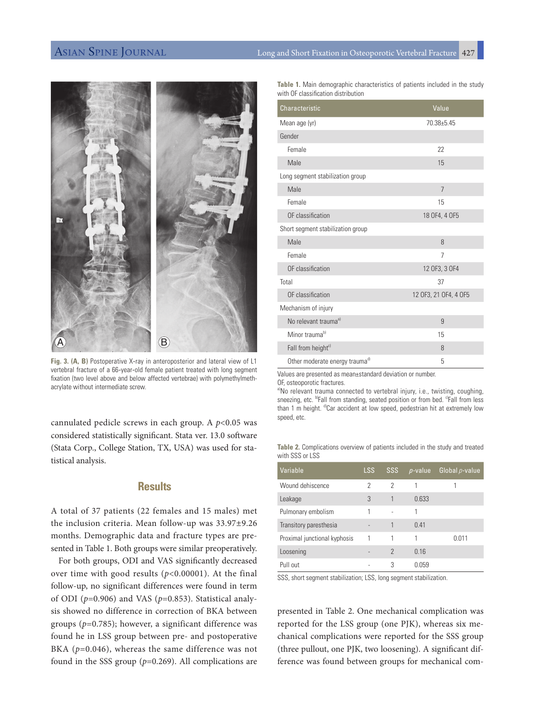

**Fig. 3. (A, B)** Postoperative X-ray in anteroposterior and lateral view of L1 vertebral fracture of a 66-year-old female patient treated with long segment fixation (two level above and below affected vertebrae) with polymethylmethacrylate without intermediate screw.

cannulated pedicle screws in each group. A *p*<0.05 was considered statistically significant. Stata ver. 13.0 software (Stata Corp., College Station, TX, USA) was used for statistical analysis.

# **Results**

A total of 37 patients (22 females and 15 males) met the inclusion criteria. Mean follow-up was 33.97±9.26 months. Demographic data and fracture types are presented in Table 1. Both groups were similar preoperatively.

For both groups, ODI and VAS significantly decreased over time with good results (*p*<0.00001). At the final follow-up, no significant differences were found in term of ODI (*p*=0.906) and VAS (*p*=0.853). Statistical analysis showed no difference in correction of BKA between groups (*p*=0.785); however, a significant difference was found he in LSS group between pre- and postoperative BKA ( $p=0.046$ ), whereas the same difference was not found in the SSS group (*p*=0.269). All complications are

**Table 1.** Main demographic characteristics of patients included in the study with OF classification distribution

| Characteristic                    | Value                 |  |  |
|-----------------------------------|-----------------------|--|--|
| Mean age (yr)                     | $70.38 + 5.45$        |  |  |
| Gender                            |                       |  |  |
| Female                            | 22                    |  |  |
| Male                              | 15                    |  |  |
| Long segment stabilization group  |                       |  |  |
| Male                              | 7                     |  |  |
| Female                            | 15                    |  |  |
| OF classification                 | 18 OF4, 4 OF5         |  |  |
| Short segment stabilization group |                       |  |  |
| Male                              | 8                     |  |  |
| Female                            | 7                     |  |  |
| OF classification                 | 12 OF3, 3 OF4         |  |  |
| Total                             | 37                    |  |  |
| OF classification                 | 12 OF3, 21 OF4, 4 OF5 |  |  |
| Mechanism of injury               |                       |  |  |
| No relevant trauma <sup>a)</sup>  | 9                     |  |  |
| Minor trauma <sup>b)</sup>        | 15                    |  |  |
| Fall from height <sup>c)</sup>    | 8                     |  |  |
| Other moderate energy traumad)    | 5                     |  |  |

Values are presented as mean±standard deviation or number. OF, osteoporotic fractures.

a)No relevant trauma connected to vertebral injury, i.e., twisting, coughing, sneezing, etc. <sup>b</sup>Fall from standing, seated position or from bed. <sup>c</sup>Fall from less than 1 m height. d)Car accident at low speed, pedestrian hit at extremely low speed, etc.

**Table 2.** Complications overview of patients included in the study and treated with SSS or LSS

| Variable                     | LSS                      | <b>SSS</b>    | $p$ -value   | Global $p$ -value |
|------------------------------|--------------------------|---------------|--------------|-------------------|
| Wound dehiscence             | 2                        | 2             | 1            |                   |
| Leakage                      | 3                        | 1             | 0.633        |                   |
| Pulmonary embolism           | 1                        |               | 1            |                   |
| Transitory paresthesia       | $\overline{\phantom{0}}$ |               | 0.41         |                   |
| Proximal junctional kyphosis |                          | 1             | 1            | 0 0 1 1           |
| Loosening                    |                          | $\mathcal{P}$ | 0.16         |                   |
| Pull out                     |                          | 3             | <u>በ በ59</u> |                   |

SSS, short segment stabilization; LSS, long segment stabilization.

presented in Table 2. One mechanical complication was reported for the LSS group (one PJK), whereas six mechanical complications were reported for the SSS group (three pullout, one PJK, two loosening). A significant difference was found between groups for mechanical com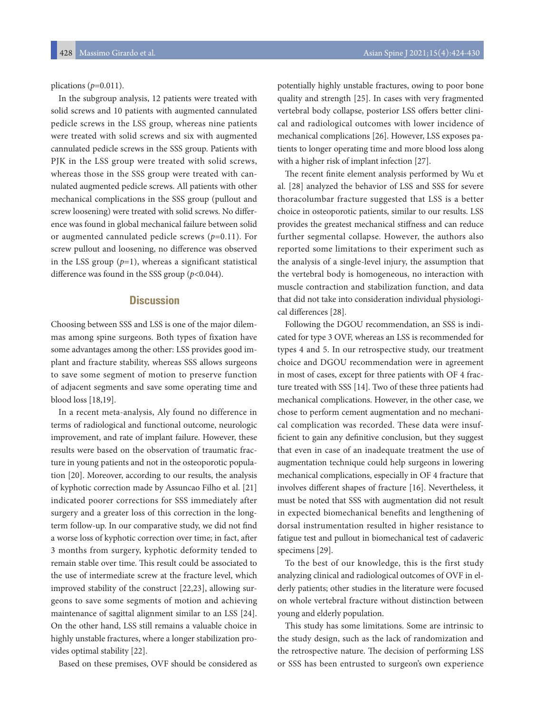plications (*p*=0.011).

In the subgroup analysis, 12 patients were treated with solid screws and 10 patients with augmented cannulated pedicle screws in the LSS group, whereas nine patients were treated with solid screws and six with augmented cannulated pedicle screws in the SSS group. Patients with PJK in the LSS group were treated with solid screws, whereas those in the SSS group were treated with cannulated augmented pedicle screws. All patients with other mechanical complications in the SSS group (pullout and screw loosening) were treated with solid screws. No difference was found in global mechanical failure between solid or augmented cannulated pedicle screws (*p*=0.11). For screw pullout and loosening, no difference was observed in the LSS group  $(p=1)$ , whereas a significant statistical difference was found in the SSS group (*p*<0.044).

# **Discussion**

Choosing between SSS and LSS is one of the major dilemmas among spine surgeons. Both types of fixation have some advantages among the other: LSS provides good implant and fracture stability, whereas SSS allows surgeons to save some segment of motion to preserve function of adjacent segments and save some operating time and blood loss [18,19].

In a recent meta-analysis, Aly found no difference in terms of radiological and functional outcome, neurologic improvement, and rate of implant failure. However, these results were based on the observation of traumatic fracture in young patients and not in the osteoporotic population [20]. Moreover, according to our results, the analysis of kyphotic correction made by Assuncao Filho et al. [21] indicated poorer corrections for SSS immediately after surgery and a greater loss of this correction in the longterm follow-up. In our comparative study, we did not find a worse loss of kyphotic correction over time; in fact, after 3 months from surgery, kyphotic deformity tended to remain stable over time. This result could be associated to the use of intermediate screw at the fracture level, which improved stability of the construct [22,23], allowing surgeons to save some segments of motion and achieving maintenance of sagittal alignment similar to an LSS [24]. On the other hand, LSS still remains a valuable choice in highly unstable fractures, where a longer stabilization provides optimal stability [22].

Based on these premises, OVF should be considered as

potentially highly unstable fractures, owing to poor bone quality and strength [25]. In cases with very fragmented vertebral body collapse, posterior LSS offers better clinical and radiological outcomes with lower incidence of mechanical complications [26]. However, LSS exposes patients to longer operating time and more blood loss along with a higher risk of implant infection [27].

The recent finite element analysis performed by Wu et al. [28] analyzed the behavior of LSS and SSS for severe thoracolumbar fracture suggested that LSS is a better choice in osteoporotic patients, similar to our results. LSS provides the greatest mechanical stiffness and can reduce further segmental collapse. However, the authors also reported some limitations to their experiment such as the analysis of a single-level injury, the assumption that the vertebral body is homogeneous, no interaction with muscle contraction and stabilization function, and data that did not take into consideration individual physiological differences [28].

Following the DGOU recommendation, an SSS is indicated for type 3 OVF, whereas an LSS is recommended for types 4 and 5. In our retrospective study, our treatment choice and DGOU recommendation were in agreement in most of cases, except for three patients with OF 4 fracture treated with SSS [14]. Two of these three patients had mechanical complications. However, in the other case, we chose to perform cement augmentation and no mechanical complication was recorded. These data were insufficient to gain any definitive conclusion, but they suggest that even in case of an inadequate treatment the use of augmentation technique could help surgeons in lowering mechanical complications, especially in OF 4 fracture that involves different shapes of fracture [16]. Nevertheless, it must be noted that SSS with augmentation did not result in expected biomechanical benefits and lengthening of dorsal instrumentation resulted in higher resistance to fatigue test and pullout in biomechanical test of cadaveric specimens [29].

To the best of our knowledge, this is the first study analyzing clinical and radiological outcomes of OVF in elderly patients; other studies in the literature were focused on whole vertebral fracture without distinction between young and elderly population.

This study has some limitations. Some are intrinsic to the study design, such as the lack of randomization and the retrospective nature. The decision of performing LSS or SSS has been entrusted to surgeon's own experience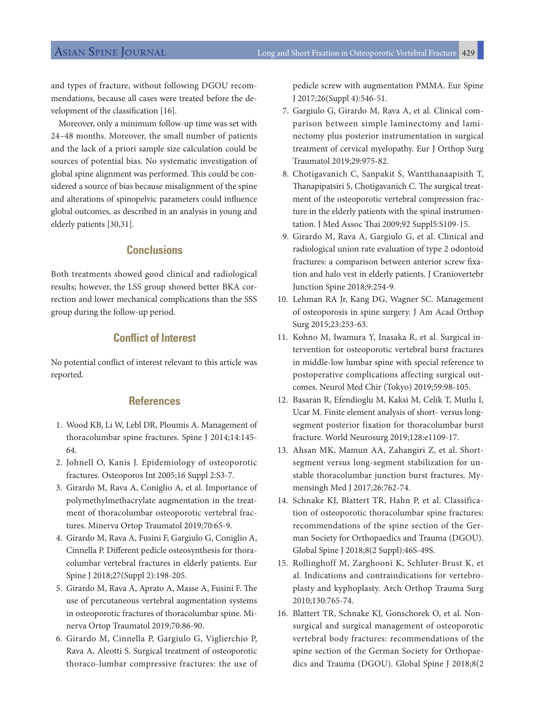and types of fracture, without following DGOU recommendations, because all cases were treated before the development of the classification [16].

Moreover, only a minimum follow-up time was set with 24–48 months. Moreover, the small number of patients and the lack of a priori sample size calculation could be sources of potential bias. No systematic investigation of global spine alignment was performed. This could be considered a source of bias because misalignment of the spine and alterations of spinopelvic parameters could influence global outcomes, as described in an analysis in young and elderly patients [30,31].

# **Conclusions**

Both treatments showed good clinical and radiological results; however, the LSS group showed better BKA correction and lower mechanical complications than the SSS group during the follow-up period.

# **Conflict of Interest**

No potential conflict of interest relevant to this article was reported.

### **References**

- 1. Wood KB, Li W, Lebl DR, Ploumis A. Management of thoracolumbar spine fractures. Spine J 2014;14:145- 64.
- 2. Johnell O, Kanis J. Epidemiology of osteoporotic fractures. Osteoporos Int 2005;16 Suppl 2:S3-7.
- 3. Girardo M, Rava A, Coniglio A, et al. Importance of polymethylmethacrylate augmentation in the treatment of thoracolumbar osteoporotic vertebral fractures. Minerva Ortop Traumatol 2019;70:65-9.
- 4. Girardo M, Rava A, Fusini F, Gargiulo G, Coniglio A, Cinnella P. Different pedicle osteosynthesis for thoracolumbar vertebral fractures in elderly patients. Eur Spine J 2018;27(Suppl 2):198-205.
- 5. Girardo M, Rava A, Aprato A, Masse A, Fusini F. The use of percutaneous vertebral augmentation systems in osteoporotic fractures of thoracolumbar spine. Minerva Ortop Traumatol 2019;70:86-90.
- 6. Girardo M, Cinnella P, Gargiulo G, Viglierchio P, Rava A, Aleotti S. Surgical treatment of osteoporotic thoraco-lumbar compressive fractures: the use of

pedicle screw with augmentation PMMA. Eur Spine J 2017;26(Suppl 4):546-51.

- 7. Gargiulo G, Girardo M, Rava A, et al. Clinical comparison between simple laminectomy and laminectomy plus posterior instrumentation in surgical treatment of cervical myelopathy. Eur J Orthop Surg Traumatol 2019;29:975-82.
- 8. Chotigavanich C, Sanpakit S, Wantthanaapisith T, Thanapipatsiri S, Chotigavanich C. The surgical treatment of the osteoporotic vertebral compression fracture in the elderly patients with the spinal instrumentation. J Med Assoc Thai 2009;92 Suppl5:S109-15.
- 9. Girardo M, Rava A, Gargiulo G, et al. Clinical and radiological union rate evaluation of type 2 odontoid fractures: a comparison between anterior screw fixation and halo vest in elderly patients. J Craniovertebr Junction Spine 2018;9:254-9.
- 10. Lehman RA Jr, Kang DG, Wagner SC. Management of osteoporosis in spine surgery. J Am Acad Orthop Surg 2015;23:253-63.
- 11. Kohno M, Iwamura Y, Inasaka R, et al. Surgical intervention for osteoporotic vertebral burst fractures in middle-low lumbar spine with special reference to postoperative complications affecting surgical outcomes. Neurol Med Chir (Tokyo) 2019;59:98-105.
- 12. Basaran R, Efendioglu M, Kaksi M, Celik T, Mutlu I, Ucar M. Finite element analysis of short- versus longsegment posterior fixation for thoracolumbar burst fracture. World Neurosurg 2019;128:e1109-17.
- 13. Ahsan MK, Mamun AA, Zahangiri Z, et al. Shortsegment versus long-segment stabilization for unstable thoracolumbar junction burst fractures. Mymensingh Med J 2017;26:762-74.
- 14. Schnake KJ, Blattert TR, Hahn P, et al. Classification of osteoporotic thoracolumbar spine fractures: recommendations of the spine section of the German Society for Orthopaedics and Trauma (DGOU). Global Spine J 2018;8(2 Suppl):46S-49S.
- 15. Rollinghoff M, Zarghooni K, Schluter-Brust K, et al. Indications and contraindications for vertebroplasty and kyphoplasty. Arch Orthop Trauma Surg 2010;130:765-74.
- 16. Blattert TR, Schnake KJ, Gonschorek O, et al. Nonsurgical and surgical management of osteoporotic vertebral body fractures: recommendations of the spine section of the German Society for Orthopaedics and Trauma (DGOU). Global Spine J 2018;8(2